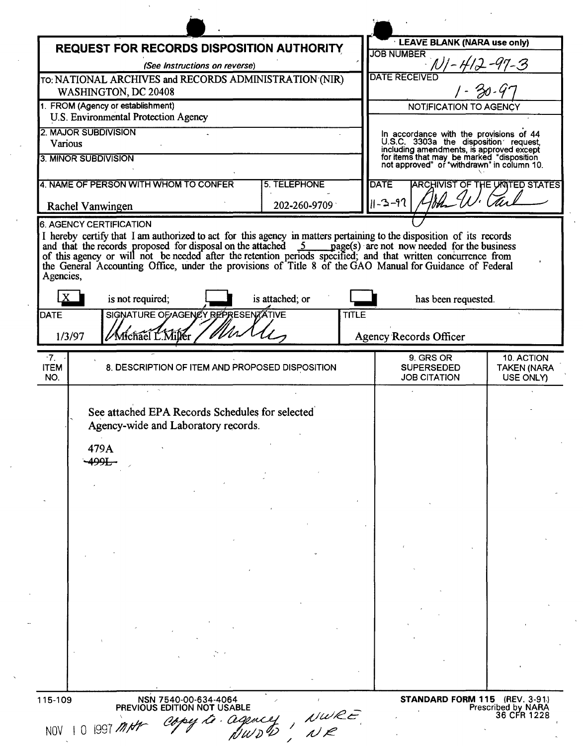| <b>REQUEST FOR RECORDS DISPOSITION AUTHORITY</b>                                                                                                                                                                                                                                                                                                |                                                                                  |                     |              | <b>LEAVE BLANK (NARA use only)</b>                                                                                                                                                                                      |                                               |
|-------------------------------------------------------------------------------------------------------------------------------------------------------------------------------------------------------------------------------------------------------------------------------------------------------------------------------------------------|----------------------------------------------------------------------------------|---------------------|--------------|-------------------------------------------------------------------------------------------------------------------------------------------------------------------------------------------------------------------------|-----------------------------------------------|
| (See Instructions on reverse)                                                                                                                                                                                                                                                                                                                   |                                                                                  |                     |              | <b>JOB NUMBER</b>                                                                                                                                                                                                       | $-97 - 3$                                     |
| TO: NATIONAL ARCHIVES and RECORDS ADMINISTRATION (NIR)                                                                                                                                                                                                                                                                                          |                                                                                  |                     |              | <b>DATE RECEIVED</b>                                                                                                                                                                                                    |                                               |
| WASHINGTON, DC 20408                                                                                                                                                                                                                                                                                                                            |                                                                                  |                     |              |                                                                                                                                                                                                                         |                                               |
|                                                                                                                                                                                                                                                                                                                                                 | 1. FROM (Agency or establishment)<br><b>U.S. Environmental Protection Agency</b> |                     |              | NOTIFICATION TO AGENCY                                                                                                                                                                                                  |                                               |
| <b>2. MAJOR SUBDIVISION</b>                                                                                                                                                                                                                                                                                                                     |                                                                                  |                     |              |                                                                                                                                                                                                                         |                                               |
| Various                                                                                                                                                                                                                                                                                                                                         |                                                                                  |                     |              |                                                                                                                                                                                                                         |                                               |
| 3. MINOR SUBDIVISION                                                                                                                                                                                                                                                                                                                            |                                                                                  |                     |              | In accordance with the provisions of 44<br>U.S.C. 3303a the disposition request,<br>including amendments, is approved except<br>for items that may be marked "disposition<br>not approved" or "withdrawn" in column 10. |                                               |
| 4. NAME OF PERSON WITH WHOM TO CONFER                                                                                                                                                                                                                                                                                                           |                                                                                  | <b>5. TELEPHONE</b> |              | <b>DATE</b>                                                                                                                                                                                                             | <b>ARCHIVIST OF THE UNITED STATES</b>         |
|                                                                                                                                                                                                                                                                                                                                                 |                                                                                  |                     |              | $  -2-97$                                                                                                                                                                                                               |                                               |
| Rachel Vanwingen                                                                                                                                                                                                                                                                                                                                |                                                                                  | 202-260-9709        |              |                                                                                                                                                                                                                         |                                               |
| 6. AGENCY CERTIFICATION<br>I hereby certify that I am authorized to act for this agency in matters pertaining to the disposition of its records                                                                                                                                                                                                 |                                                                                  |                     |              |                                                                                                                                                                                                                         |                                               |
| and that the records proposed for disposal on the attached 5 page(s) are not now needed for the business of this agency or will not be needed after the retention periods specified; and that written concurrence from<br>the General Accounting Office, under the provisions of Title 8 of the GAO Manual for Guidance of Federal<br>Agencies, |                                                                                  |                     |              |                                                                                                                                                                                                                         |                                               |
| is not required;                                                                                                                                                                                                                                                                                                                                |                                                                                  | is attached; or     |              | has been requested.                                                                                                                                                                                                     |                                               |
| DATE                                                                                                                                                                                                                                                                                                                                            | SIGNATURE OF AGENCY REPRESENTATIVE                                               |                     | <b>TITLE</b> |                                                                                                                                                                                                                         |                                               |
| Michael L. Miller<br>1/3/97                                                                                                                                                                                                                                                                                                                     |                                                                                  |                     |              | <b>Agency Records Officer</b>                                                                                                                                                                                           |                                               |
|                                                                                                                                                                                                                                                                                                                                                 |                                                                                  |                     |              |                                                                                                                                                                                                                         |                                               |
| $^{\circ}7.$<br><b>ITEM</b><br>NO.                                                                                                                                                                                                                                                                                                              | 8. DESCRIPTION OF ITEM AND PROPOSED DISPOSITION                                  |                     |              | 9. GRS OR<br><b>SUPERSEDED</b><br><b>JOB CITATION</b>                                                                                                                                                                   | 10. ACTION<br><b>TAKEN (NARA</b><br>USE ONLY) |
|                                                                                                                                                                                                                                                                                                                                                 |                                                                                  |                     |              |                                                                                                                                                                                                                         |                                               |
|                                                                                                                                                                                                                                                                                                                                                 | See attached EPA Records Schedules for selected                                  |                     |              |                                                                                                                                                                                                                         |                                               |
|                                                                                                                                                                                                                                                                                                                                                 | Agency-wide and Laboratory records.                                              |                     |              |                                                                                                                                                                                                                         |                                               |
| 479A                                                                                                                                                                                                                                                                                                                                            |                                                                                  |                     |              |                                                                                                                                                                                                                         |                                               |
| -499E                                                                                                                                                                                                                                                                                                                                           |                                                                                  |                     |              |                                                                                                                                                                                                                         |                                               |
|                                                                                                                                                                                                                                                                                                                                                 |                                                                                  |                     |              |                                                                                                                                                                                                                         |                                               |
|                                                                                                                                                                                                                                                                                                                                                 |                                                                                  |                     |              |                                                                                                                                                                                                                         |                                               |
|                                                                                                                                                                                                                                                                                                                                                 |                                                                                  |                     |              |                                                                                                                                                                                                                         |                                               |
|                                                                                                                                                                                                                                                                                                                                                 |                                                                                  |                     |              |                                                                                                                                                                                                                         |                                               |
|                                                                                                                                                                                                                                                                                                                                                 |                                                                                  |                     |              |                                                                                                                                                                                                                         |                                               |
|                                                                                                                                                                                                                                                                                                                                                 |                                                                                  |                     |              |                                                                                                                                                                                                                         |                                               |
|                                                                                                                                                                                                                                                                                                                                                 |                                                                                  |                     |              |                                                                                                                                                                                                                         |                                               |
|                                                                                                                                                                                                                                                                                                                                                 |                                                                                  |                     |              |                                                                                                                                                                                                                         |                                               |
|                                                                                                                                                                                                                                                                                                                                                 |                                                                                  |                     |              |                                                                                                                                                                                                                         |                                               |
|                                                                                                                                                                                                                                                                                                                                                 |                                                                                  |                     |              |                                                                                                                                                                                                                         |                                               |
|                                                                                                                                                                                                                                                                                                                                                 |                                                                                  |                     |              |                                                                                                                                                                                                                         |                                               |
|                                                                                                                                                                                                                                                                                                                                                 |                                                                                  |                     |              |                                                                                                                                                                                                                         |                                               |

 $\mathcal{L}^{\mathcal{L}}(\mathcal{L}^{\mathcal{L}}(\mathcal{L}^{\mathcal{L}}(\mathcal{L}^{\mathcal{L}}(\mathcal{L}^{\mathcal{L}}(\mathcal{L}^{\mathcal{L}}(\mathcal{L}^{\mathcal{L}}(\mathcal{L}^{\mathcal{L}}(\mathcal{L}^{\mathcal{L}}(\mathcal{L}^{\mathcal{L}}(\mathcal{L}^{\mathcal{L}}(\mathcal{L}^{\mathcal{L}}(\mathcal{L}^{\mathcal{L}}(\mathcal{L}^{\mathcal{L}}(\mathcal{L}^{\mathcal{L}}(\mathcal{L}^{\mathcal{L}}(\mathcal{L}^{\mathcal{L$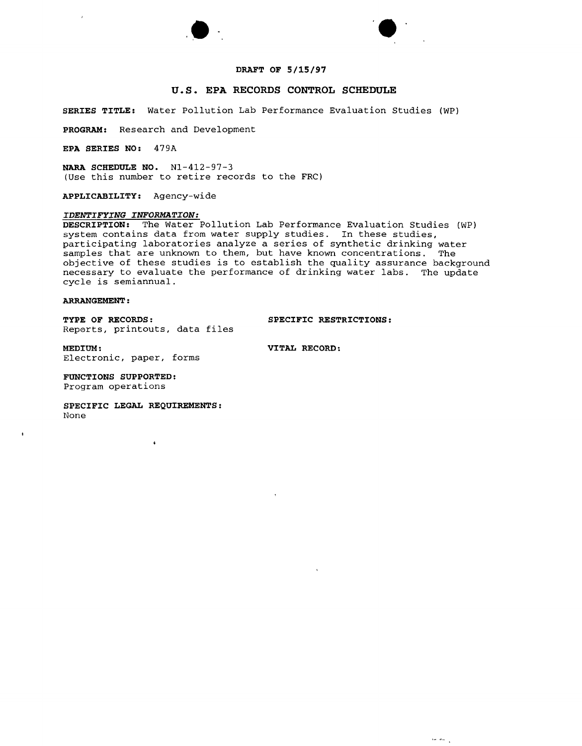

 $\ddot{\phantom{a}}$ 



# **u.s. EPA RECORDS CONTROL SCHEDULE**

**SERIES TITLE:** Water Pollution Lab Performance Evaluation Studies (WP)

**PROGRAM:** Research and Development

**EPA SERIES NO:** 479A

 $\overline{ }$ 

**NARA SCHEDULE NO.** Nl-412-97-3 (Use this number to retire records to the FRC)

**'.**

**APPLICABILITY:** Agency-wide

# *IDENTIFYING INFORMATION:*

**DESCRIPTION:** The Water Pollution Lab Performance Evaluation Studies (WP) system contains data from water supply studies. In these studies, participating laboratories analyze a series of synthetic drinking water samples that are unknown to them, but have known concentrations. The objective of these studies is to establish the quality assurance background necessary to evaluate the performance of drinking water labs. The update cycle is semiannual.

# **ARRANGEMENT:**

 $\mathbf{I}$ 

**TYPE OF RECORDS: SPECIFIC RESTRICTIONS:** Rep0rts, printouts, data files

**MEDIUM: VITAL RECORD:** Electronic, paper, forms

**FUNCTIONS SUPPORTED:** Program operations

**SPECIFIC LEGAL REQUIREMENTS:** None

 $\pmb{\epsilon}$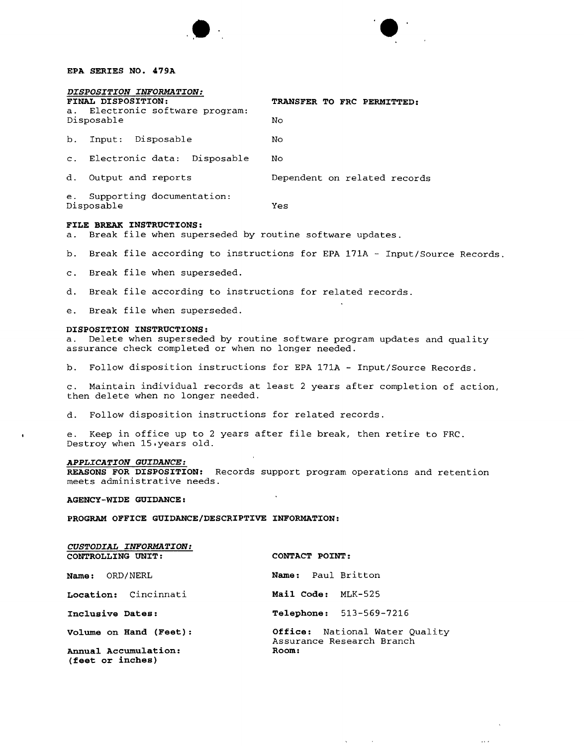**EPA SERIES NO. 479A**

| DISPOSITION INFORMATION:                      |                              |  |  |  |  |  |
|-----------------------------------------------|------------------------------|--|--|--|--|--|
| FINAL DISPOSITION:                            | TRANSFER TO FRC PERMITTED:   |  |  |  |  |  |
| a. Electronic software program:<br>Disposable | Nο                           |  |  |  |  |  |
| b. Input: Disposable                          | No                           |  |  |  |  |  |
| c. Electronic data: Disposable                | Nο                           |  |  |  |  |  |
| d. Output and reports                         | Dependent on related records |  |  |  |  |  |
| e. Supporting documentation:<br>Disposable    | Yes                          |  |  |  |  |  |

**••**

#### **FILE BREAK INSTRUCTIONS:**

a. Break file when superseded by routine software updates.

b. Break file according to instructions for EPA 171A - Input/Source Records.

c. Break file when superseded.

d. Break file according to instructions for related records.

e. Break file when superseded.

## **DISPOSITION INSTRUCTIONS:**

a. Delete when superseded by routine software program updates and quality assurance check completed or when no longer needed.

b. Follow disposition instructions for EPA 171A - Input/Source Records.

c. Maintain individual records at least 2 years after completion of action, then delete when no longer needed.

d. Follow disposition instructions for related records.

e. Keep in office up to 2 years after file break, then retire to FRC. Destroy when 15.years old.

## *APPLICATION GUIDANCE:*

**REASONS FOR DISPOSITION:** Records support program operations and retention meets administrative needs.

## **AGENCY-WIDE GUIDANCE:**

*CUSTODIAL INFORMATION:*

**PROGRAM OFFICE GUIDANCE/DESCRIPTIVE INFORMATION:**

| CUSTODIAL INFORMATION:                   |                                                             |  |  |  |
|------------------------------------------|-------------------------------------------------------------|--|--|--|
| <b>CONTROLLING UNIT:</b>                 | CONTACT POINT:                                              |  |  |  |
| <b>Name:</b> ORD/NERL                    | Name: Paul Britton                                          |  |  |  |
| Location: Cincinnati                     | Mail Code: MLK-525                                          |  |  |  |
| Inclusive Dates:                         | <b>Telephone:</b> 513-569-7216                              |  |  |  |
| Volume on Hand (Feet):                   | Office: National Water Quality<br>Assurance Research Branch |  |  |  |
| Annual Accumulation:<br>(feet or inches) | Room:                                                       |  |  |  |
|                                          |                                                             |  |  |  |

 $\sim$ 

 $\cdots$